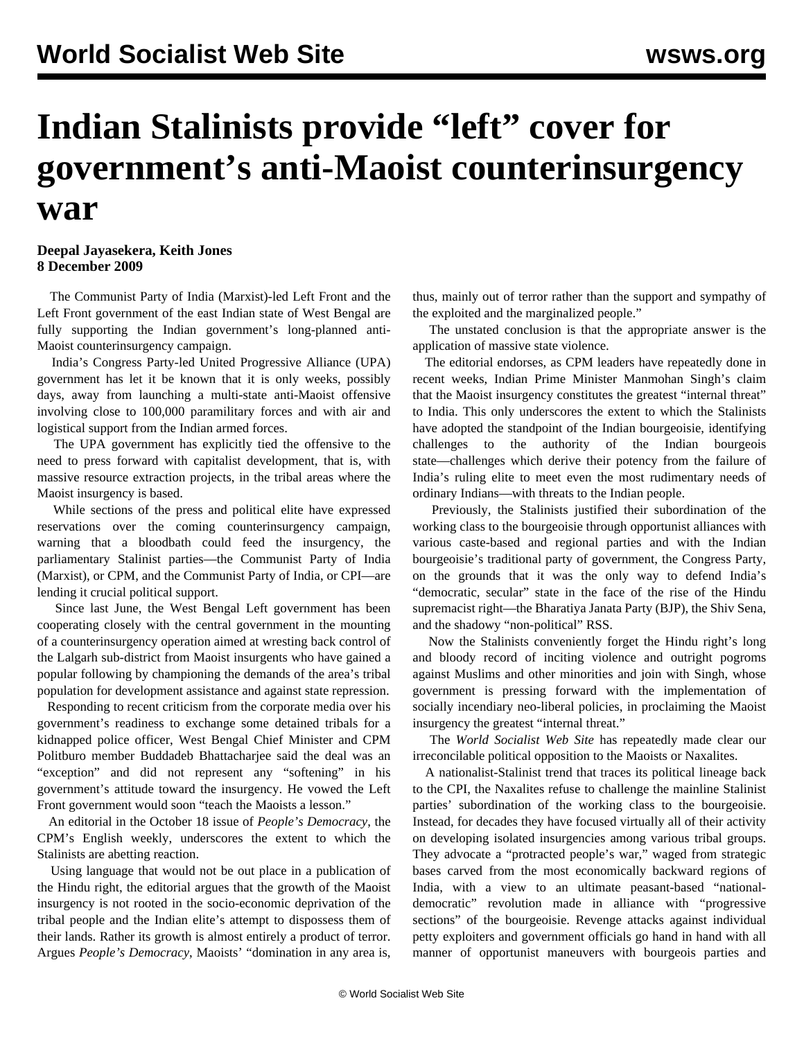## **Indian Stalinists provide "left" cover for government's anti-Maoist counterinsurgency war**

**Deepal Jayasekera, Keith Jones 8 December 2009**

 The Communist Party of India (Marxist)-led Left Front and the Left Front government of the east Indian state of West Bengal are fully supporting the Indian government's long-planned anti-Maoist counterinsurgency campaign.

 India's Congress Party-led United Progressive Alliance (UPA) government has let it be known that it is only weeks, possibly days, away from launching a multi-state anti-Maoist offensive involving close to 100,000 paramilitary forces and with air and logistical support from the Indian armed forces.

 The UPA government has explicitly tied the offensive to the need to press forward with capitalist development, that is, with massive resource extraction projects, in the tribal areas where the Maoist insurgency is based.

 While sections of the press and political elite have expressed reservations over the coming counterinsurgency campaign, warning that a bloodbath could feed the insurgency, the parliamentary Stalinist parties—the Communist Party of India (Marxist), or CPM, and the Communist Party of India, or CPI—are lending it crucial political support.

 Since last June, the West Bengal Left government has been cooperating closely with the central government in the mounting of a counterinsurgency operation aimed at wresting back control of the Lalgarh sub-district from Maoist insurgents who have gained a popular following by championing the demands of the area's tribal population for development assistance and against state repression.

 Responding to recent criticism from the corporate media over his government's readiness to exchange some detained tribals for a kidnapped police officer, West Bengal Chief Minister and CPM Politburo member Buddadeb Bhattacharjee said the deal was an "exception" and did not represent any "softening" in his government's attitude toward the insurgency. He vowed the Left Front government would soon "teach the Maoists a lesson."

 An editorial in the October 18 issue of *People's Democracy*, the CPM's English weekly, underscores the extent to which the Stalinists are abetting reaction.

 Using language that would not be out place in a publication of the Hindu right, the editorial argues that the growth of the Maoist insurgency is not rooted in the socio-economic deprivation of the tribal people and the Indian elite's attempt to dispossess them of their lands. Rather its growth is almost entirely a product of terror. Argues *People's Democracy*, Maoists' "domination in any area is,

thus, mainly out of terror rather than the support and sympathy of the exploited and the marginalized people."

 The unstated conclusion is that the appropriate answer is the application of massive state violence.

 The editorial endorses, as CPM leaders have repeatedly done in recent weeks, Indian Prime Minister Manmohan Singh's claim that the Maoist insurgency constitutes the greatest "internal threat" to India. This only underscores the extent to which the Stalinists have adopted the standpoint of the Indian bourgeoisie, identifying challenges to the authority of the Indian bourgeois state—challenges which derive their potency from the failure of India's ruling elite to meet even the most rudimentary needs of ordinary Indians—with threats to the Indian people.

 Previously, the Stalinists justified their subordination of the working class to the bourgeoisie through opportunist alliances with various caste-based and regional parties and with the Indian bourgeoisie's traditional party of government, the Congress Party, on the grounds that it was the only way to defend India's "democratic, secular" state in the face of the rise of the Hindu supremacist right—the Bharatiya Janata Party (BJP), the Shiv Sena, and the shadowy "non-political" RSS.

 Now the Stalinists conveniently forget the Hindu right's long and bloody record of inciting violence and outright pogroms against Muslims and other minorities and join with Singh, whose government is pressing forward with the implementation of socially incendiary neo-liberal policies, in proclaiming the Maoist insurgency the greatest "internal threat."

 The *World Socialist Web Site* has repeatedly made clear our irreconcilable political opposition to the Maoists or Naxalites.

 A nationalist-Stalinist trend that traces its political lineage back to the CPI, the Naxalites refuse to challenge the mainline Stalinist parties' subordination of the working class to the bourgeoisie. Instead, for decades they have focused virtually all of their activity on developing isolated insurgencies among various tribal groups. They advocate a "protracted people's war," waged from strategic bases carved from the most economically backward regions of India, with a view to an ultimate peasant-based "nationaldemocratic" revolution made in alliance with "progressive sections" of the bourgeoisie. Revenge attacks against individual petty exploiters and government officials go hand in hand with all manner of opportunist maneuvers with bourgeois parties and